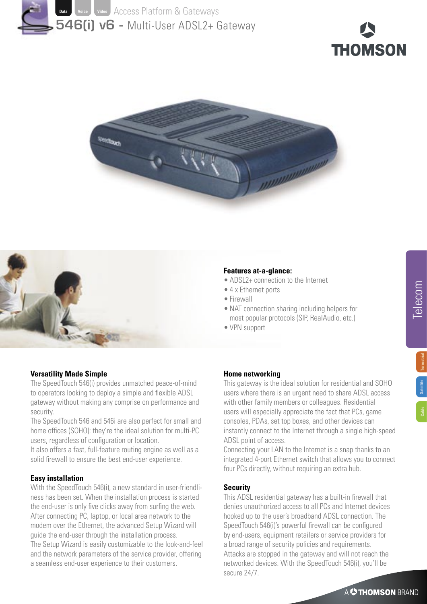







## **Features at-a-glance:**

- ADSL2+ connection to the Internet
- 4 x Ethernet ports
- Firewall
- NAT connection sharing including helpers for most popular protocols (SIP, RealAudio, etc.)
- VPN support

Telecom

# **Versatility Made Simple**

The SpeedTouch 546(i) provides unmatched peace-of-mind to operators looking to deploy a simple and flexible ADSL gateway without making any comprise on performance and security.

The SpeedTouch 546 and 546i are also perfect for small and home offices (SOHO): they're the ideal solution for multi-PC users, regardless of configuration or location.

It also offers a fast, full-feature routing engine as well as a solid firewall to ensure the best end-user experience.

# **Easy installation**

With the SpeedTouch 546(i), a new standard in user-friendliness has been set. When the installation process is started the end-user is only five clicks away from surfing the web. After connecting PC, laptop, or local area network to the modem over the Ethernet, the advanced Setup Wizard will guide the end-user through the installation process. The Setup Wizard is easily customizable to the look-and-feel and the network parameters of the service provider, offering a seamless end-user experience to their customers.

### **Home networking**

This gateway is the ideal solution for residential and SOHO users where there is an urgent need to share ADSL access with other family members or colleagues. Residential users will especially appreciate the fact that PCs, game consoles, PDAs, set top boxes, and other devices can instantly connect to the Internet through a single high-speed ADSL point of access.

Connecting your LAN to the Internet is a snap thanks to an integrated 4-port Ethernet switch that allows you to connect four PCs directly, without requiring an extra hub.

## **Security**

This ADSL residential gateway has a built-in firewall that denies unauthorized access to all PCs and Internet devices hooked up to the user's broadband ADSL connection. The SpeedTouch 546(i)'s powerful firewall can be configured by end-users, equipment retailers or service providers for a broad range of security policies and requirements. Attacks are stopped in the gateway and will not reach the networked devices. With the SpeedTouch 546(i), you'll be secure 24/7.

A<sup>2</sup>THOMSON BRAND